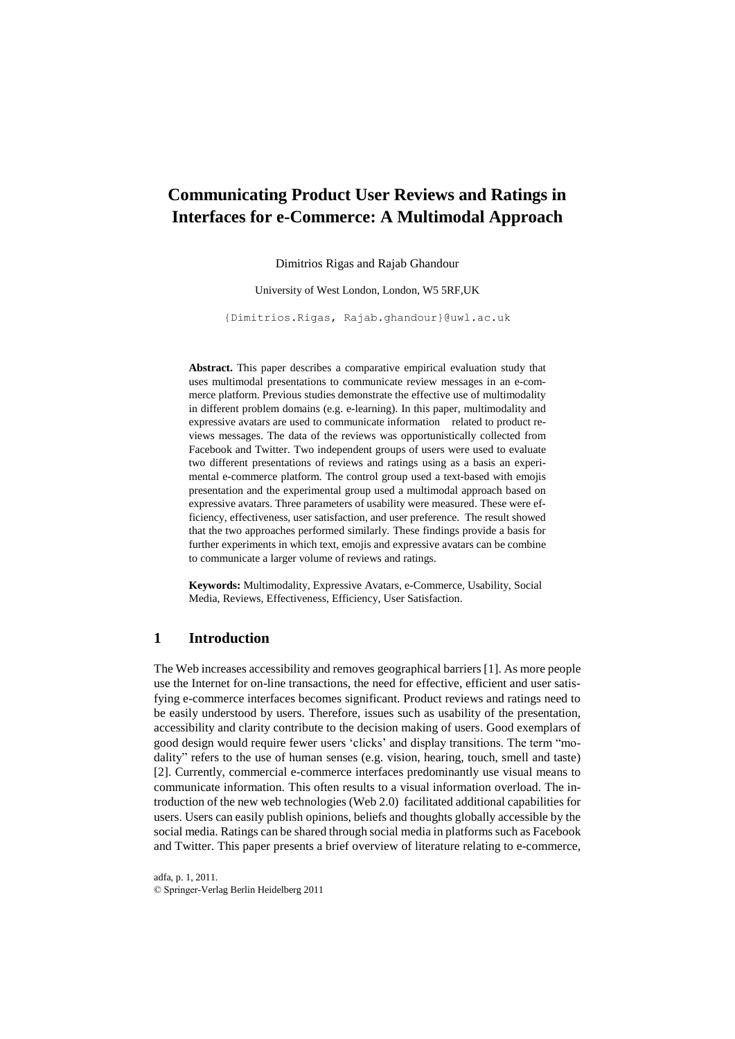# **Communicating Product User Reviews and Ratings in Interfaces for e-Commerce: A Multimodal Approach**

Dimitrios Rigas and Rajab Ghandour

University of West London, London, W5 5RF,UK

{Dimitrios.Rigas, Rajab.ghandour}@uwl.ac.uk

**Abstract.** This paper describes a comparative empirical evaluation study that uses multimodal presentations to communicate review messages in an e-commerce platform. Previous studies demonstrate the effective use of multimodality in different problem domains (e.g. e-learning). In this paper, multimodality and expressive avatars are used to communicate information related to product reviews messages. The data of the reviews was opportunistically collected from Facebook and Twitter. Two independent groups of users were used to evaluate two different presentations of reviews and ratings using as a basis an experimental e-commerce platform. The control group used a text-based with emojis presentation and the experimental group used a multimodal approach based on expressive avatars. Three parameters of usability were measured. These were efficiency, effectiveness, user satisfaction, and user preference. The result showed that the two approaches performed similarly. These findings provide a basis for further experiments in which text, emojis and expressive avatars can be combine to communicate a larger volume of reviews and ratings.

**Keywords:** Multimodality, Expressive Avatars, e-Commerce, Usability, Social Media, Reviews, Effectiveness, Efficiency, User Satisfaction.

# **1 Introduction**

The Web increases accessibility and removes geographical barriers [1]. As more people use the Internet for on-line transactions, the need for effective, efficient and user satisfying e-commerce interfaces becomes significant. Product reviews and ratings need to be easily understood by users. Therefore, issues such as usability of the presentation, accessibility and clarity contribute to the decision making of users. Good exemplars of good design would require fewer users 'clicks' and display transitions. The term "modality" refers to the use of human senses (e.g. vision, hearing, touch, smell and taste) [2]. Currently, commercial e-commerce interfaces predominantly use visual means to communicate information. This often results to a visual information overload. The introduction of the new web technologies (Web 2.0) facilitated additional capabilities for users. Users can easily publish opinions, beliefs and thoughts globally accessible by the social media. Ratings can be shared through social media in platforms such as Facebook and Twitter. This paper presents a brief overview of literature relating to e-commerce,

adfa, p. 1, 2011. © Springer-Verlag Berlin Heidelberg 2011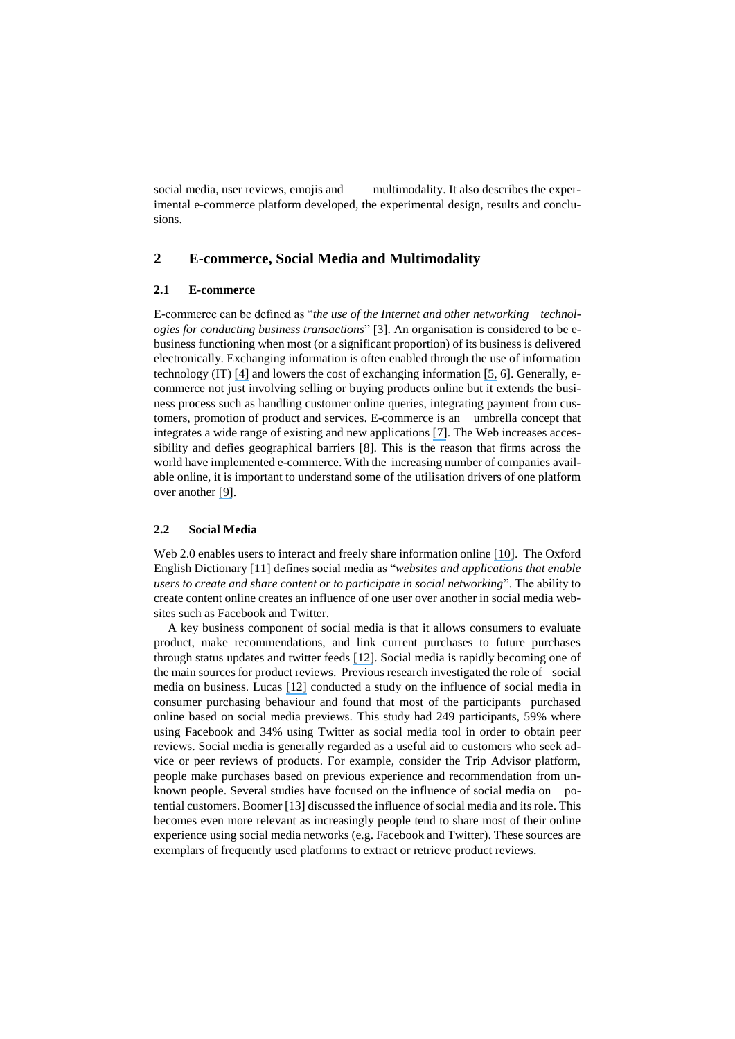social media, user reviews, emojis and multimodality. It also describes the experimental e-commerce platform developed, the experimental design, results and conclusions.

# **2 E-commerce, Social Media and Multimodality**

#### **2.1 E-commerce**

E-commerce can be defined as "*the use of the Internet and other networking technologies for conducting business transactions*" [3]. An organisation is considered to be ebusiness functioning when most (or a significant proportion) of its business is delivered electronically. Exchanging information is often enabled through the use of information technology (IT) [4] and lowers the cost of exchanging information [5, 6]. Generally, ecommerce not just involving selling or buying products online but it extends the business process such as handling customer online queries, integrating payment from customers, promotion of product and services. E-commerce is an umbrella concept that integrates a wide range of existing and new applications [7]. The Web increases accessibility and defies geographical barriers [8]. This is the reason that firms across the world have implemented e-commerce. With the increasing number of companies available online, it is important to understand some of the utilisation drivers of one platform over another [9].

#### **2.2 Social Media**

Web 2.0 enables users to interact and freely share information online [10]. The Oxford English Dictionary [11] defines social media as "*websites and applications that enable users to create and share content or to participate in social networking*". The ability to create content online creates an influence of one user over another in social media websites such as Facebook and Twitter.

A key business component of social media is that it allows consumers to evaluate product, make recommendations, and link current purchases to future purchases through status updates and twitter feeds [12]. Social media is rapidly becoming one of the main sources for product reviews. Previous research investigated the role of social media on business. Lucas [12] conducted a study on the influence of social media in consumer purchasing behaviour and found that most of the participants purchased online based on social media previews. This study had 249 participants, 59% where using Facebook and 34% using Twitter as social media tool in order to obtain peer reviews. Social media is generally regarded as a useful aid to customers who seek advice or peer reviews of products. For example, consider the Trip Advisor platform, people make purchases based on previous experience and recommendation from unknown people. Several studies have focused on the influence of social media on potential customers. Boomer [13] discussed the influence of social media and itsrole. This becomes even more relevant as increasingly people tend to share most of their online experience using social media networks (e.g. Facebook and Twitter). These sources are exemplars of frequently used platforms to extract or retrieve product reviews.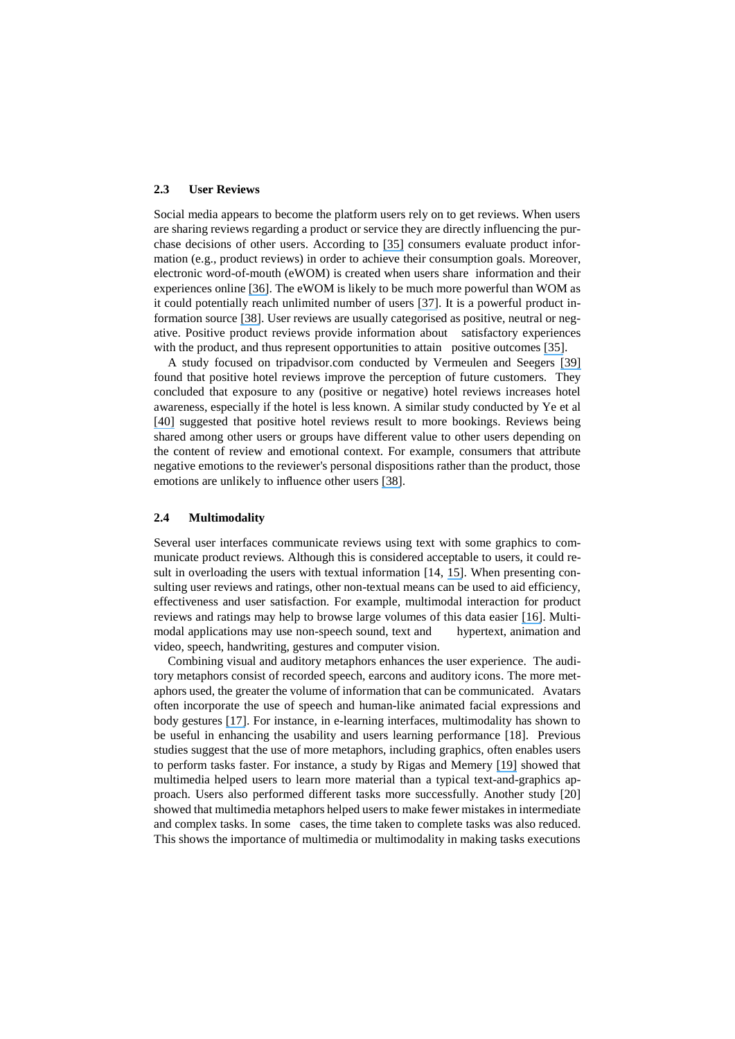#### **2.3 User Reviews**

Social media appears to become the platform users rely on to get reviews. When users are sharing reviews regarding a product or service they are directly influencing the purchase decisions of other users. According to [35] consumers evaluate product information (e.g., product reviews) in order to achieve their consumption goals. Moreover, electronic word-of-mouth (eWOM) is created when users share information and their experiences online [36]. The eWOM is likely to be much more powerful than WOM as it could potentially reach unlimited number of users [37]. It is a powerful product information source [38]. User reviews are usually categorised as positive, neutral or negative. Positive product reviews provide information about satisfactory experiences with the product, and thus represent opportunities to attain positive outcomes [35].

A study focused on tripadvisor.com conducted by Vermeulen and Seegers [39] found that positive hotel reviews improve the perception of future customers. They concluded that exposure to any (positive or negative) hotel reviews increases hotel awareness, especially if the hotel is less known. A similar study conducted by Ye et al [40] suggested that positive hotel reviews result to more bookings. Reviews being shared among other users or groups have different value to other users depending on the content of review and emotional context. For example, consumers that attribute negative emotions to the reviewer's personal dispositions rather than the product, those emotions are unlikely to influence other users [38].

#### **2.4 Multimodality**

Several user interfaces communicate reviews using text with some graphics to communicate product reviews. Although this is considered acceptable to users, it could result in overloading the users with textual information [14, 15]. When presenting consulting user reviews and ratings, other non-textual means can be used to aid efficiency, effectiveness and user satisfaction. For example, multimodal interaction for product reviews and ratings may help to browse large volumes of this data easier [16]. Multimodal applications may use non-speech sound, text and hypertext, animation and video, speech, handwriting, gestures and computer vision.

Combining visual and auditory metaphors enhances the user experience. The auditory metaphors consist of recorded speech, earcons and auditory icons. The more metaphors used, the greater the volume of information that can be communicated. Avatars often incorporate the use of speech and human-like animated facial expressions and body gestures [17]. For instance, in e-learning interfaces, multimodality has shown to be useful in enhancing the usability and users learning performance [18]. Previous studies suggest that the use of more metaphors, including graphics, often enables users to perform tasks faster. For instance, a study by Rigas and Memery [19] showed that multimedia helped users to learn more material than a typical text-and-graphics approach. Users also performed different tasks more successfully. Another study [20] showed that multimedia metaphors helped users to make fewer mistakes in intermediate and complex tasks. In some cases, the time taken to complete tasks was also reduced. This shows the importance of multimedia or multimodality in making tasks executions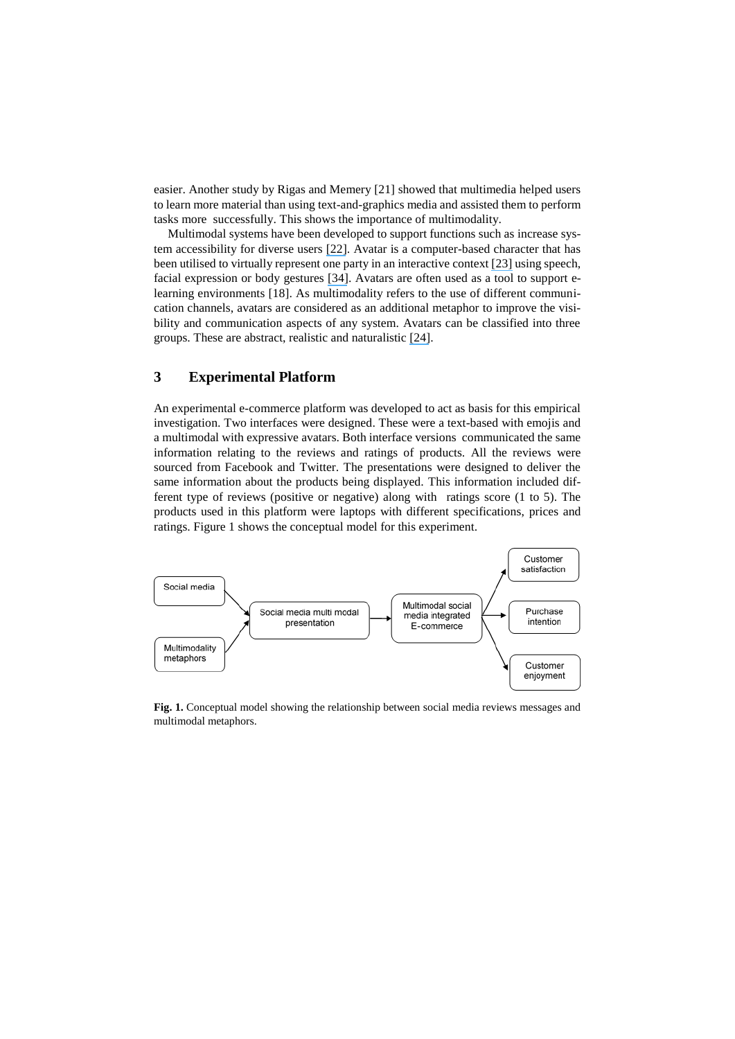easier. Another study by Rigas and Memery [21] showed that multimedia helped users to learn more material than using text-and-graphics media and assisted them to perform tasks more successfully. This shows the importance of multimodality.

Multimodal systems have been developed to support functions such as increase system accessibility for diverse users [22]. Avatar is a computer-based character that has been utilised to virtually represent one party in an interactive context [23] using speech, facial expression or body gestures [34]. Avatars are often used as a tool to support elearning environments [18]. As multimodality refers to the use of different communication channels, avatars are considered as an additional metaphor to improve the visibility and communication aspects of any system. Avatars can be classified into three groups. These are abstract, realistic and naturalistic [24].

# **3 Experimental Platform**

An experimental e-commerce platform was developed to act as basis for this empirical investigation. Two interfaces were designed. These were a text-based with emojis and a multimodal with expressive avatars. Both interface versions communicated the same information relating to the reviews and ratings of products. All the reviews were sourced from Facebook and Twitter. The presentations were designed to deliver the same information about the products being displayed. This information included different type of reviews (positive or negative) along with ratings score (1 to 5). The products used in this platform were laptops with different specifications, prices and ratings. Figure 1 shows the conceptual model for this experiment.



**Fig. 1.** Conceptual model showing the relationship between social media reviews messages and multimodal metaphors.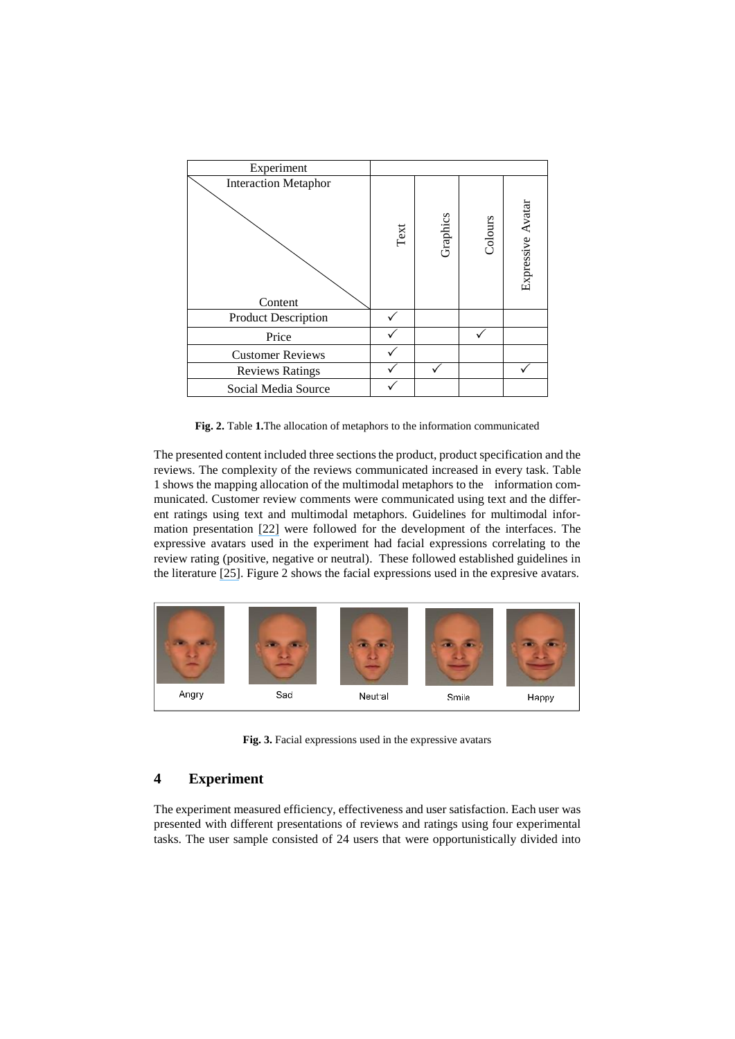

**Fig. 2.** Table **1.**The allocation of metaphors to the information communicated

The presented content included three sections the product, product specification and the reviews. The complexity of the reviews communicated increased in every task. Table 1 shows the mapping allocation of the multimodal metaphors to the information communicated. Customer review comments were communicated using text and the different ratings using text and multimodal metaphors. Guidelines for multimodal information presentation [22] were followed for the development of the interfaces. The expressive avatars used in the experiment had facial expressions correlating to the review rating (positive, negative or neutral). These followed established guidelines in the literature [25]. Figure 2 shows the facial expressions used in the expresive avatars.



**Fig. 3.** Facial expressions used in the expressive avatars

# **4 Experiment**

The experiment measured efficiency, effectiveness and user satisfaction. Each user was presented with different presentations of reviews and ratings using four experimental tasks. The user sample consisted of 24 users that were opportunistically divided into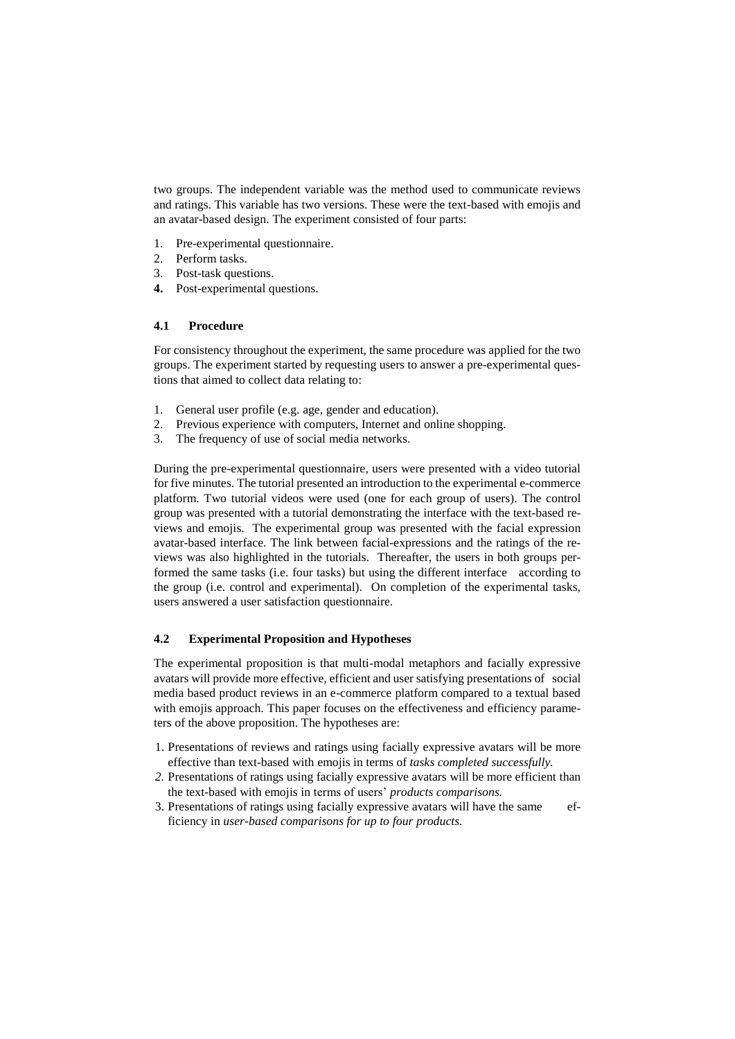two groups. The independent variable was the method used to communicate reviews and ratings. This variable has two versions. These were the text-based with emojis and an avatar-based design. The experiment consisted of four parts:

- 1. Pre-experimental questionnaire.
- 2. Perform tasks.
- 3. Post-task questions.
- **4.** Post-experimental questions.

### **4.1 Procedure**

For consistency throughout the experiment, the same procedure was applied for the two groups. The experiment started by requesting users to answer a pre-experimental questions that aimed to collect data relating to:

- 1. General user profile (e.g. age, gender and education).
- 2. Previous experience with computers, Internet and online shopping.
- 3. The frequency of use of social media networks.

During the pre-experimental questionnaire, users were presented with a video tutorial for five minutes. The tutorial presented an introduction to the experimental e-commerce platform. Two tutorial videos were used (one for each group of users). The control group was presented with a tutorial demonstrating the interface with the text-based reviews and emojis. The experimental group was presented with the facial expression avatar-based interface. The link between facial-expressions and the ratings of the reviews was also highlighted in the tutorials. Thereafter, the users in both groups performed the same tasks (i.e. four tasks) but using the different interface according to the group (i.e. control and experimental). On completion of the experimental tasks, users answered a user satisfaction questionnaire.

#### **4.2 Experimental Proposition and Hypotheses**

The experimental proposition is that multi-modal metaphors and facially expressive avatars will provide more effective, efficient and user satisfying presentations of social media based product reviews in an e-commerce platform compared to a textual based with emojis approach. This paper focuses on the effectiveness and efficiency parameters of the above proposition. The hypotheses are:

- 1. Presentations of reviews and ratings using facially expressive avatars will be more effective than text-based with emojis in terms of *tasks completed successfully.*
- *2.* Presentations of ratings using facially expressive avatars will be more efficient than the text-based with emojis in terms of users' *products comparisons.*
- 3. Presentations of ratings using facially expressive avatars will have the same efficiency in *user-based comparisons for up to four products.*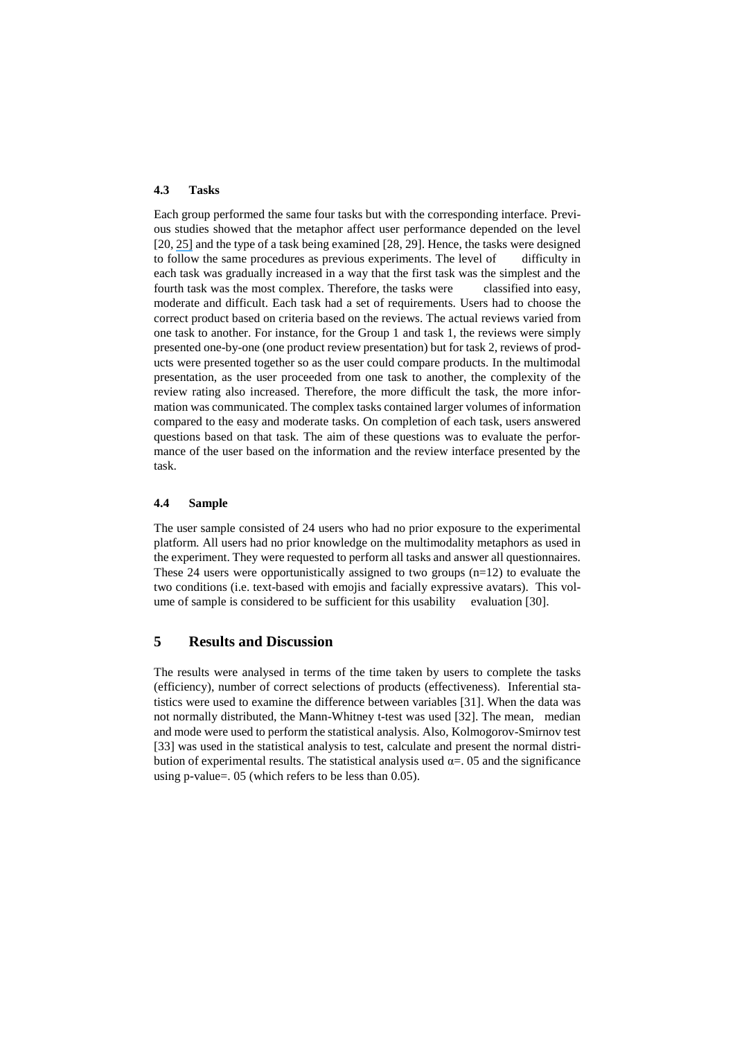#### **4.3 Tasks**

Each group performed the same four tasks but with the corresponding interface. Previous studies showed that the metaphor affect user performance depended on the level [20, 25] and the type of a task being examined [28, 29]. Hence, the tasks were designed to follow the same procedures as previous experiments. The level of difficulty in each task was gradually increased in a way that the first task was the simplest and the fourth task was the most complex. Therefore, the tasks were classified into easy, moderate and difficult. Each task had a set of requirements. Users had to choose the correct product based on criteria based on the reviews. The actual reviews varied from one task to another. For instance, for the Group 1 and task 1, the reviews were simply presented one-by-one (one product review presentation) but for task 2, reviews of products were presented together so as the user could compare products. In the multimodal presentation, as the user proceeded from one task to another, the complexity of the review rating also increased. Therefore, the more difficult the task, the more information was communicated. The complex tasks contained larger volumes of information compared to the easy and moderate tasks. On completion of each task, users answered questions based on that task. The aim of these questions was to evaluate the performance of the user based on the information and the review interface presented by the task.

#### **4.4 Sample**

The user sample consisted of 24 users who had no prior exposure to the experimental platform. All users had no prior knowledge on the multimodality metaphors as used in the experiment. They were requested to perform all tasks and answer all questionnaires. These 24 users were opportunistically assigned to two groups (n=12) to evaluate the two conditions (i.e. text-based with emojis and facially expressive avatars). This volume of sample is considered to be sufficient for this usability evaluation [30].

# **5 Results and Discussion**

The results were analysed in terms of the time taken by users to complete the tasks (efficiency), number of correct selections of products (effectiveness). Inferential statistics were used to examine the difference between variables [31]. When the data was not normally distributed, the Mann-Whitney t-test was used [32]. The mean, median and mode were used to perform the statistical analysis. Also, Kolmogorov-Smirnov test [33] was used in the statistical analysis to test, calculate and present the normal distribution of experimental results. The statistical analysis used  $\alpha = 0.05$  and the significance using p-value=. 05 (which refers to be less than 0.05).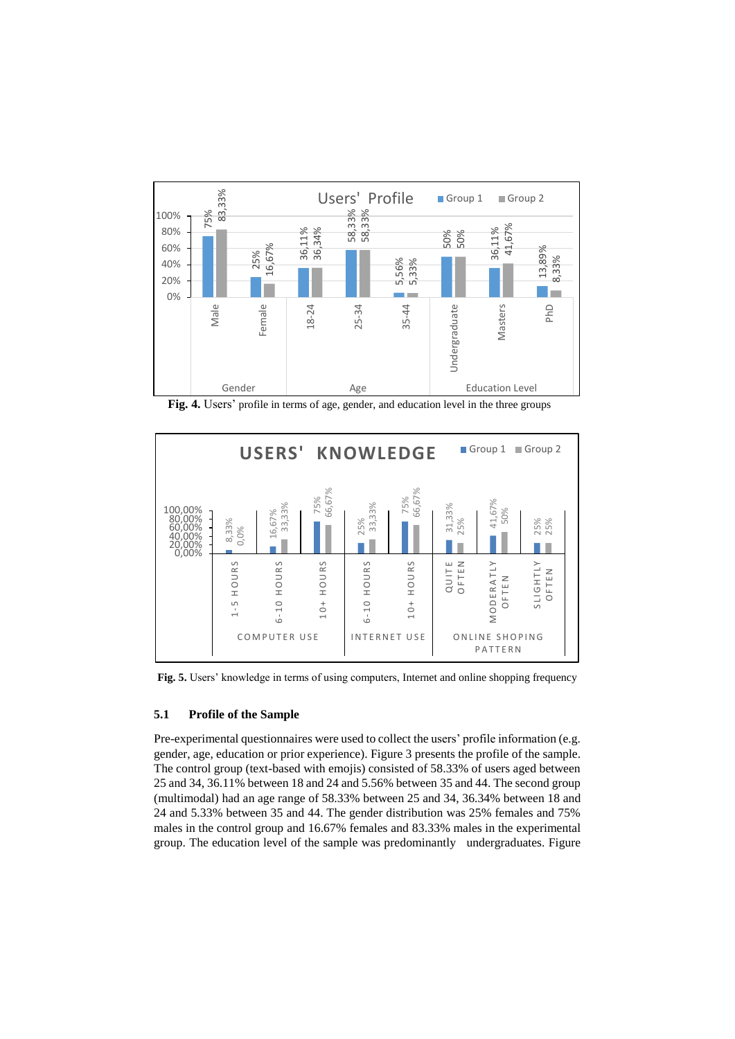

**Fig. 4.** Users' profile in terms of age, gender, and education level in the three groups



**Fig. 5.** Users' knowledge in terms of using computers, Internet and online shopping frequency

## **5.1 Profile of the Sample**

Pre-experimental questionnaires were used to collect the users' profile information (e.g. gender, age, education or prior experience). Figure 3 presents the profile of the sample. The control group (text-based with emojis) consisted of 58.33% of users aged between 25 and 34, 36.11% between 18 and 24 and 5.56% between 35 and 44. The second group (multimodal) had an age range of 58.33% between 25 and 34, 36.34% between 18 and 24 and 5.33% between 35 and 44. The gender distribution was 25% females and 75% males in the control group and 16.67% females and 83.33% males in the experimental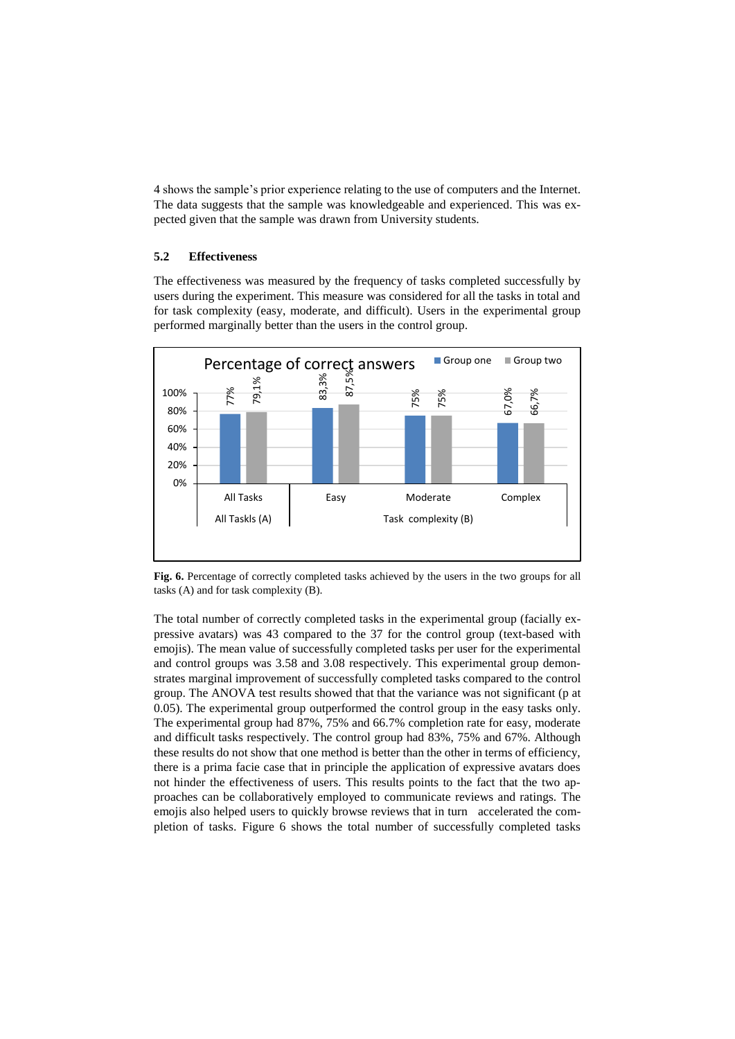4 shows the sample's prior experience relating to the use of computers and the Internet. The data suggests that the sample was knowledgeable and experienced. This was expected given that the sample was drawn from University students.

## **5.2 Effectiveness**

The effectiveness was measured by the frequency of tasks completed successfully by users during the experiment. This measure was considered for all the tasks in total and for task complexity (easy, moderate, and difficult). Users in the experimental group performed marginally better than the users in the control group.



**Fig. 6.** Percentage of correctly completed tasks achieved by the users in the two groups for all tasks (A) and for task complexity (B).

The total number of correctly completed tasks in the experimental group (facially expressive avatars) was 43 compared to the 37 for the control group (text-based with emojis). The mean value of successfully completed tasks per user for the experimental and control groups was 3.58 and 3.08 respectively. This experimental group demonstrates marginal improvement of successfully completed tasks compared to the control group. The ANOVA test results showed that that the variance was not significant (p at 0.05). The experimental group outperformed the control group in the easy tasks only. The experimental group had 87%, 75% and 66.7% completion rate for easy, moderate and difficult tasks respectively. The control group had 83%, 75% and 67%. Although these results do not show that one method is better than the other in terms of efficiency, there is a prima facie case that in principle the application of expressive avatars does not hinder the effectiveness of users. This results points to the fact that the two approaches can be collaboratively employed to communicate reviews and ratings. The emojis also helped users to quickly browse reviews that in turn accelerated the com-**Pook**<br> **Example 10** states. Figure 6 shows the total number of successfully complex<br>
Pook all Taskis (A) and for task complexity (B).<br> **Example 10** complex and 30 for the total number of successfully completed tasks in t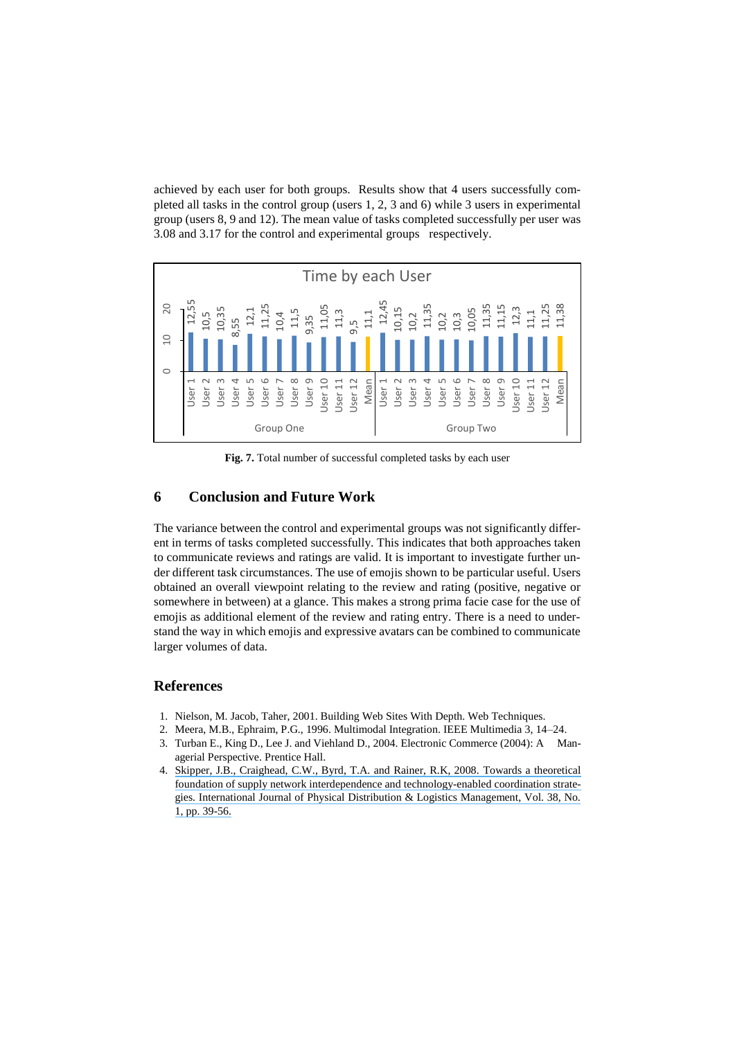achieved by each user for both groups. Results show that 4 users successfully completed all tasks in the control group (users 1, 2, 3 and 6) while 3 users in experimental group (users 8, 9 and 12). The mean value of tasks completed successfully per user was 3.08 and 3.17 for the control and experimental groups respectively.



**Fig. 7.** Total number of successful completed tasks by each user

# **6 Conclusion and Future Work**

The variance between the control and experimental groups was not significantly different in terms of tasks completed successfully. This indicates that both approaches taken to communicate reviews and ratings are valid. It is important to investigate further under different task circumstances. The use of emojis shown to be particular useful. Users obtained an overall viewpoint relating to the review and rating (positive, negative or somewhere in between) at a glance. This makes a strong prima facie case for the use of emojis as additional element of the review and rating entry. There is a need to understand the way in which emojis and expressive avatars can be combined to communicate larger volumes of data.

# **References**

- 1. Nielson, M. Jacob, Taher, 2001. Building Web Sites With Depth. Web Techniques.
- 2. Meera, M.B., Ephraim, P.G., 1996. Multimodal Integration. IEEE Multimedia 3, 14–24.
- 3. Turban E., King D., Lee J. and Viehland D., 2004. Electronic Commerce (2004): A Managerial Perspective. Prentice Hall.
- 4. Skipper, J.B., Craighead, C.W., Byrd, T.A. and Rainer, R.K, 2008. Towards a theoretical foundation of supply network interdependence and technology-enabled coordination strategies. International Journal of Physical Distribution & Logistics Management, Vol. 38, No. 1, pp. 39-56.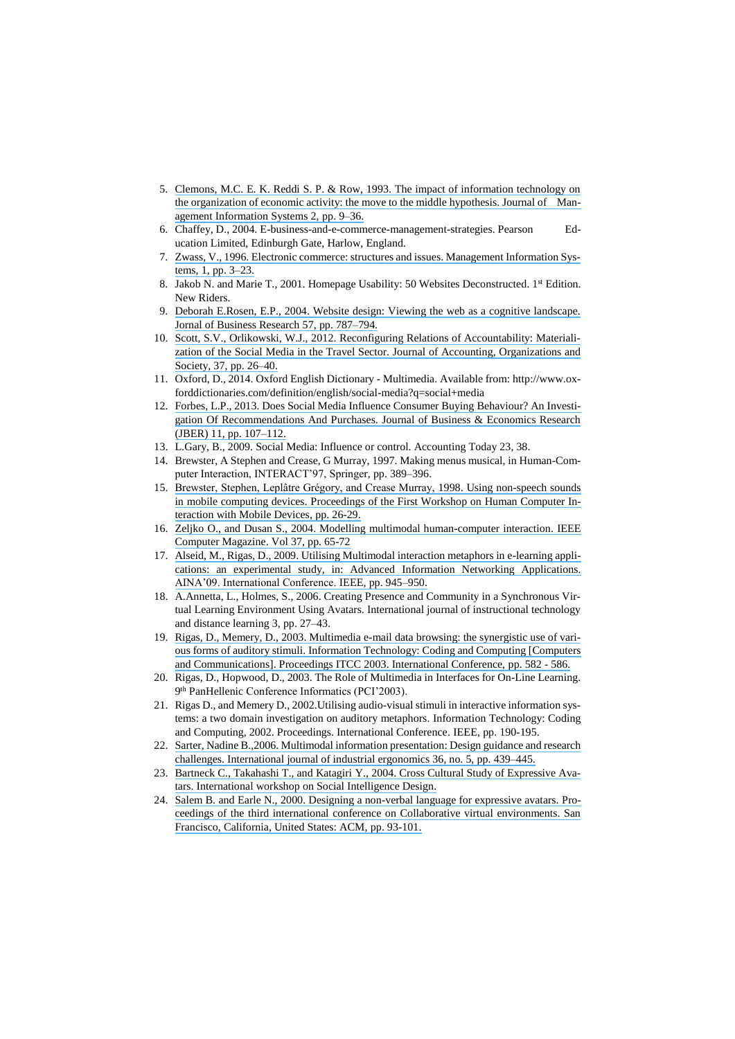- 5. Clemons, M.C. E. K. Reddi S. P. & Row, 1993. The impact of information technology on the organization of economic activity: the move to the middle hypothesis. Journal of Management Information Systems 2, pp. 9–36.
- 6. Chaffey, D., 2004. E-business-and-e-commerce-management-strategies. Pearson Education Limited, Edinburgh Gate, Harlow, England.
- 7. Zwass, V., 1996. Electronic commerce: structures and issues. Management Information Systems, 1, pp. 3–23.
- 8. Jakob N. and Marie T., 2001. Homepage Usability: 50 Websites Deconstructed. 1<sup>st</sup> Edition. New Riders.
- 9. Deborah E.Rosen, E.P., 2004. Website design: Viewing the web as a cognitive landscape. Jornal of Business Research 57, pp. 787–794.
- 10. Scott, S.V., Orlikowski, W.J., 2012. Reconfiguring Relations of Accountability: Materialization of the Social Media in the Travel Sector. Journal of Accounting, Organizations and Society, 37, pp. 26–40.
- 11. Oxford, D., 2014. Oxford English Dictionary Multimedia. Available from: http://www.oxforddictionaries.com/definition/english/social-media?q=social+media
- 12. Forbes, L.P., 2013. Does Social Media Influence Consumer Buying Behaviour? An Investigation Of Recommendations And Purchases. Journal of Business & Economics Research (JBER) 11, pp. 107–112.
- 13. L.Gary, B., 2009. Social Media: Influence or control. Accounting Today 23, 38.
- 14. Brewster, A Stephen and Crease, G Murray, 1997. Making menus musical, in Human-Computer Interaction, INTERACT'97, Springer, pp. 389–396.
- 15. Brewster, Stephen, Leplâtre Grégory, and Crease Murray, 1998. Using non-speech sounds in mobile computing devices. Proceedings of the First Workshop on Human Computer Interaction with Mobile Devices, pp. 26-29.
- 16. Zeljko O., and Dusan S., 2004. Modelling multimodal human-computer interaction. IEEE Computer Magazine. Vol 37, pp. 65-72
- 17. Alseid, M., Rigas, D., 2009. Utilising Multimodal interaction metaphors in e-learning applications: an experimental study, in: Advanced Information Networking Applications. AINA'09. International Conference. IEEE, pp. 945–950.
- 18. A.Annetta, L., Holmes, S., 2006. Creating Presence and Community in a Synchronous Virtual Learning Environment Using Avatars. International journal of instructional technology and distance learning 3, pp. 27–43.
- 19. Rigas, D., Memery, D., 2003. Multimedia e-mail data browsing: the synergistic use of various forms of auditory stimuli. Information Technology: Coding and Computing [Computers and Communications]. Proceedings ITCC 2003. International Conference, pp. 582 - 586.
- 20. Rigas, D., Hopwood, D., 2003. The Role of Multimedia in Interfaces for On-Line Learning. 9<sup>th</sup> PanHellenic Conference Informatics (PCI'2003).
- 21. Rigas D., and Memery D., 2002.Utilising audio-visual stimuli in interactive information systems: a two domain investigation on auditory metaphors. Information Technology: Coding and Computing, 2002. Proceedings. International Conference. IEEE, pp. 190-195.
- 22. Sarter, Nadine B.,2006. Multimodal information presentation: Design guidance and research challenges. International journal of industrial ergonomics 36, no. 5, pp. 439–445.
- 23. Bartneck C., Takahashi T., and Katagiri Y., 2004. Cross Cultural Study of Expressive Avatars. International workshop on Social Intelligence Design.
- 24. Salem B. and Earle N., 2000. Designing a non-verbal language for expressive avatars. Proceedings of the third international conference on Collaborative virtual environments. San Francisco, California, United States: ACM, pp. 93-101.